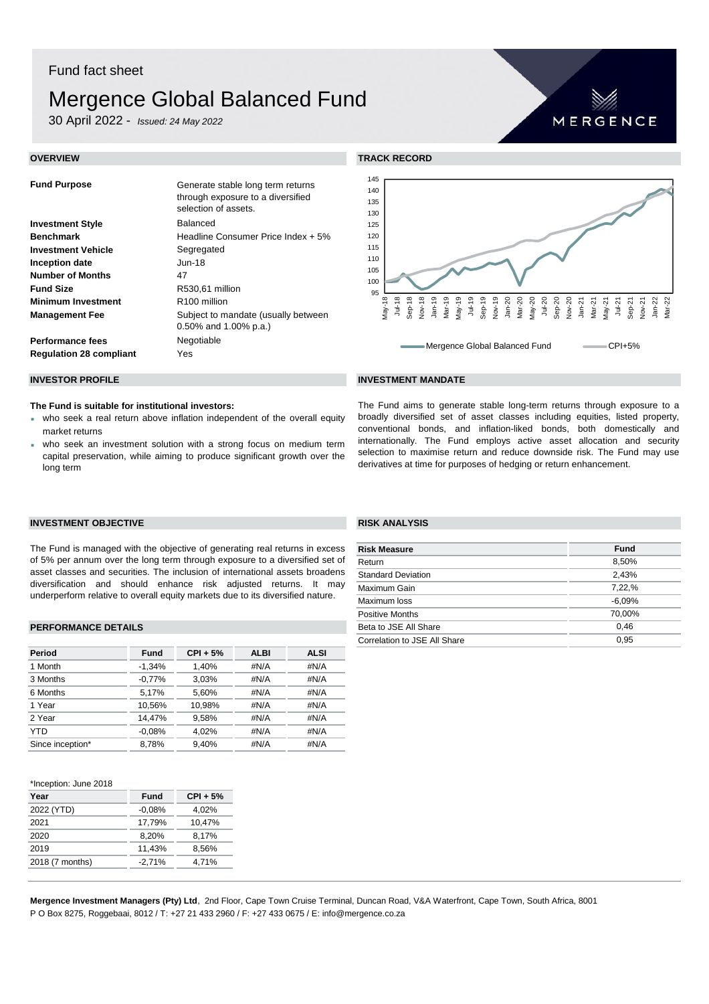# Fund fact sheet

# Mergence Global Balanced Fund

30 April 2022 - *Issued: 24 May 2022*

| <b>Fund Purpose</b>            | Generate stable long term returns<br>through exposure to a diversified<br>selection of assets. |
|--------------------------------|------------------------------------------------------------------------------------------------|
| <b>Investment Style</b>        | <b>Balanced</b>                                                                                |
| <b>Benchmark</b>               | Headline Consumer Price Index + 5%                                                             |
| <b>Investment Vehicle</b>      | Segregated                                                                                     |
| Inception date                 | Jun-18                                                                                         |
| <b>Number of Months</b>        | 47                                                                                             |
| <b>Fund Size</b>               | R530,61 million                                                                                |
| <b>Minimum Investment</b>      | R <sub>100</sub> million                                                                       |
| <b>Management Fee</b>          | Subject to mandate (usually between<br>$0.50\%$ and 1.00% p.a.)                                |
| <b>Performance fees</b>        | Negotiable                                                                                     |
| <b>Regulation 28 compliant</b> | Yes                                                                                            |



MERGENCE

## **INVESTOR PROFILE INVESTMENT MANDATE**

## **The Fund is suitable for institutional investors:**

- who seek a real return above inflation independent of the overall equity market returns
- who seek an investment solution with a strong focus on medium term capital preservation, while aiming to produce significant growth over the long term

## The Fund aims to generate stable long-term returns through exposure to a broadly diversified set of asset classes including equities, listed property, conventional bonds, and inflation-liked bonds, both domestically and internationally. The Fund employs active asset allocation and security selection to maximise return and reduce downside risk. The Fund may use derivatives at time for purposes of hedging or return enhancement.

## **INVESTMENT OBJECTIVE RISK ANALYSIS**

The Fund is managed with the objective of generating real returns in excess of 5% per annum over the long term through exposure to a diversified set of asset classes and securities. The inclusion of international assets broadens diversification and should enhance risk adjusted returns. It may underperform relative to overall equity markets due to its diversified nature.

## **PERFORMANCE DETAILS**

| Period           | Fund     | $CPI + 5%$ | <b>ALBI</b> | <b>ALSI</b> |
|------------------|----------|------------|-------------|-------------|
| 1 Month          | $-1.34%$ | 1.40%      | #N/A        | #N/A        |
| 3 Months         | $-0,77%$ | 3.03%      | #N/A        | #N/A        |
| 6 Months         | 5.17%    | 5,60%      | #N/A        | #N/A        |
| 1 Year           | 10.56%   | 10.98%     | #N/A        | #N/A        |
| 2 Year           | 14.47%   | 9.58%      | #N/A        | #N/A        |
| YTD              | $-0.08%$ | 4.02%      | #N/A        | #N/A        |
| Since inception* | 8.78%    | 9.40%      | #N/A        | #N/A        |
|                  |          |            |             |             |

## \*Inception: June 2018

| Year            | <b>Fund</b> | $CPI + 5%$ |
|-----------------|-------------|------------|
| 2022 (YTD)      | $-0.08%$    | 4,02%      |
| 2021            | 17,79%      | 10.47%     |
| 2020            | 8.20%       | 8.17%      |
| 2019            | 11,43%      | 8,56%      |
| 2018 (7 months) | $-2,71%$    | 4,71%      |
|                 |             |            |

| <b>Risk Measure</b>          | <b>Fund</b> |
|------------------------------|-------------|
| Return                       | 8,50%       |
| <b>Standard Deviation</b>    | 2.43%       |
| Maximum Gain                 | 7,22,%      |
| Maximum loss                 | $-6,09%$    |
| <b>Positive Months</b>       | 70,00%      |
| Beta to JSE All Share        | 0.46        |
| Correlation to JSE All Share | 0.95        |

**Mergence Investment Managers (Pty) Ltd**, 2nd Floor, Cape Town Cruise Terminal, Duncan Road, V&A Waterfront, Cape Town, South Africa, 8001 P O Box 8275, Roggebaai, 8012 / T: +27 21 433 2960 / F: +27 433 0675 / E: info@mergence.co.za